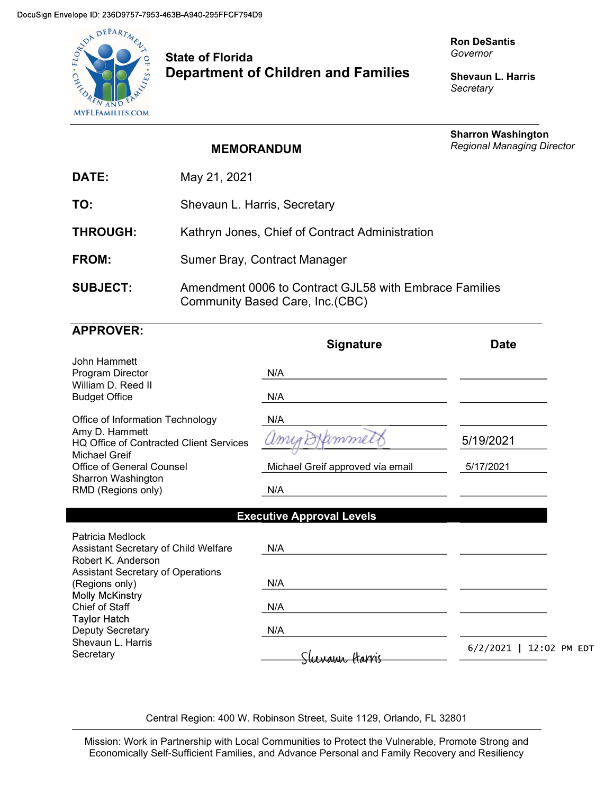

## State of Florida Department of Children and Families

Ron DeSantis Governor

Shevaun L. Harris **Secretary** 

|                  | <b>MEMORANDUM</b>                                                                          | <b>Sharron Washington</b><br><b>Regional Managing Director</b> |
|------------------|--------------------------------------------------------------------------------------------|----------------------------------------------------------------|
| DATE:            | May 21, 2021                                                                               |                                                                |
| TO:              | Shevaun L. Harris, Secretary                                                               |                                                                |
| <b>THROUGH:</b>  | Kathryn Jones, Chief of Contract Administration                                            |                                                                |
| FROM:            | Sumer Bray, Contract Manager                                                               |                                                                |
| <b>SUBJECT:</b>  | Amendment 0006 to Contract GJL58 with Embrace Families<br>Community Based Care, Inc. (CBC) |                                                                |
| <b>APPROVER:</b> |                                                                                            |                                                                |

|                                                                                   | <b>Signature</b>                 | <b>Date</b>              |
|-----------------------------------------------------------------------------------|----------------------------------|--------------------------|
| John Hammett<br>Program Director                                                  | N/A                              |                          |
| William D. Reed II<br><b>Budget Office</b>                                        | N/A                              |                          |
| Office of Information Technology                                                  | N/A                              |                          |
| Amy D. Hammett<br>HQ Office of Contracted Client Services<br><b>Michael Greif</b> | mme                              | 5/19/2021                |
| <b>Office of General Counsel</b>                                                  | Michael Greif approved via email | 5/17/2021                |
| Sharron Washington<br>RMD (Regions only)                                          | N/A                              |                          |
|                                                                                   | <b>Executive Approval Levels</b> |                          |
| Patricia Medlock<br>Assistant Secretary of Child Welfare<br>Robert K. Anderson    | N/A                              |                          |
| Assistant Secretary of Operations<br>(Regions only)                               | N/A                              |                          |
| Molly McKinstry<br>Chief of Staff                                                 | N/A                              |                          |
| Taylor Hatch<br>Deputy Secretary                                                  | N/A                              |                          |
| Shevaun L. Harris<br>Secretary                                                    |                                  | 6/2/2021<br>12:02 PM EDT |

Central Region: 400 W. Robinson Street, Suite 1129, Orlando, FL 32801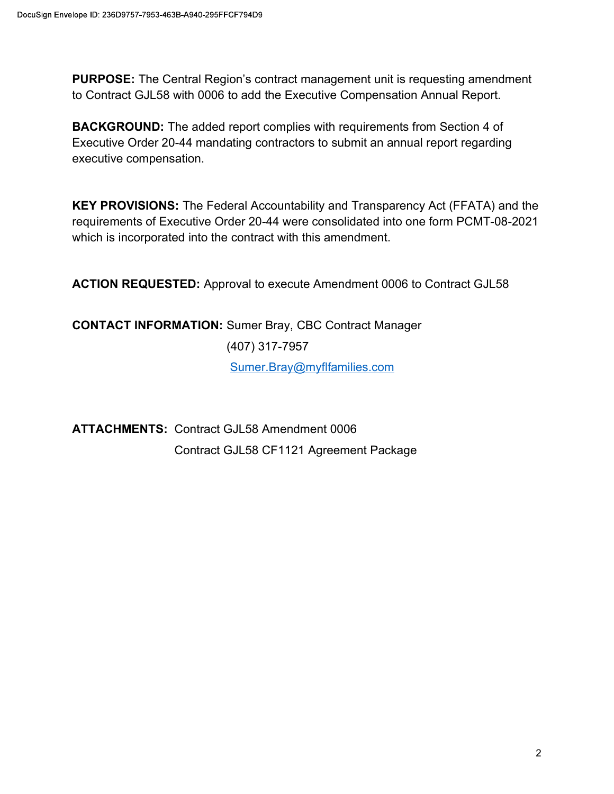PURPOSE: The Central Region's contract management unit is requesting amendment to Contract GJL58 with 0006 to add the Executive Compensation Annual Report.

BACKGROUND: The added report complies with requirements from Section 4 of Executive Order 20-44 mandating contractors to submit an annual report regarding executive compensation.

KEY PROVISIONS: The Federal Accountability and Transparency Act (FFATA) and the requirements of Executive Order 20-44 were consolidated into one form PCMT-08-2021 which is incorporated into the contract with this amendment.

ACTION REQUESTED: Approval to execute Amendment 0006 to Contract GJL58

CONTACT INFORMATION: Sumer Bray, CBC Contract Manager (407) 317-7957 Sumer.Bray@myflfamilies.com

ATTACHMENTS: Contract GJL58 Amendment 0006 Contract GJL58 CF1121 Agreement Package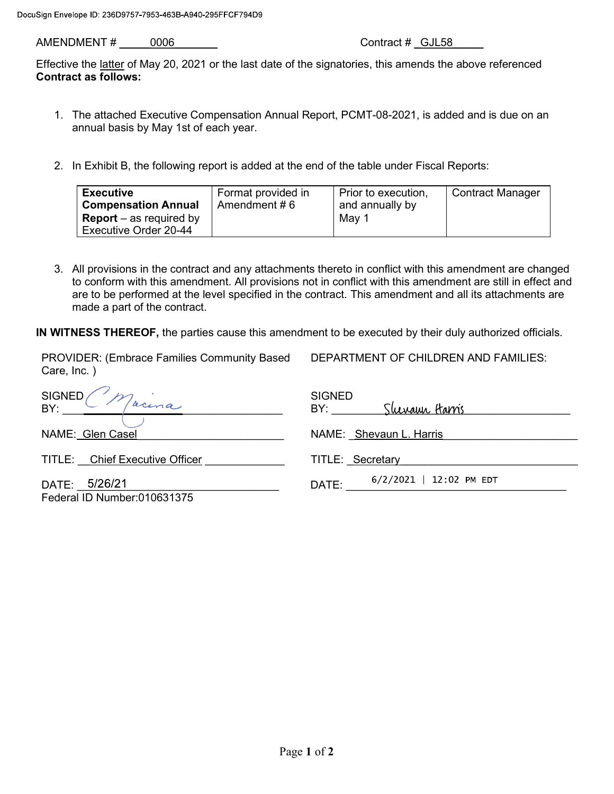AMENDMENT # \_\_\_\_\_0006\_\_\_\_\_\_\_ Contract # \_GJL58\_\_\_\_\_

DEPARTMENT OF CHILDREN AND FAMILIES:

Effective the latter of May 20, 2021 or the last date of the signatories, this amends the above referenced Contract as follows:

- 1. The attached Executive Compensation Annual Report, PCMT-08-2021, is added and is due on an annual basis by May 1st of each year.
- 2. In Exhibit B, the following report is added at the end of the table under Fiscal Reports:

| <b>Executive</b>               | Format provided in | Prior to execution, | <b>Contract Manager</b> |
|--------------------------------|--------------------|---------------------|-------------------------|
| <b>Compensation Annual</b>     | Amendment $# 6$    | and annually by     |                         |
| <b>Report</b> – as required by |                    | Mav 1               |                         |
| Executive Order 20-44          |                    |                     |                         |

3. All provisions in the contract and any attachments thereto in conflict with this amendment are changed to conform with this amendment. All provisions not in conflict with this amendment are still in effect and are to be performed at the level specified in the contract. This amendment and all its attachments are made a part of the contract.

IN WITNESS THEREOF, the parties cause this amendment to be executed by their duly authorized officials.

| PROVIDER: (Embrace Families Community Based<br>Care, Inc. ) | DEPARTMENT OF CHILDREN AND FAMILIES:          |
|-------------------------------------------------------------|-----------------------------------------------|
| SIGNED<br>Macina<br>BY:                                     | <b>SIGNED</b><br><u>Sluvann Harris</u><br>BY: |
| NAME: Glen Casel                                            | NAME: Shevaun L. Harris                       |
| TITLE: Chief Executive Officer                              | TITLE: Secretary                              |
| 5/26/21<br>DATE:<br>Federal ID Number:010631375             | 6/2/2021   12:02 PM EDT<br>DATE:              |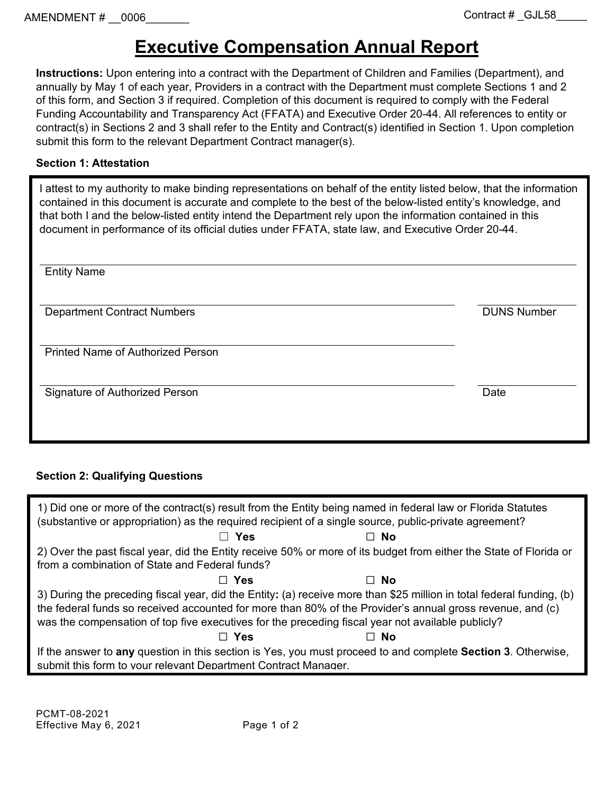# **Executive Compensation Annual Report**

**Instructions:** Upon entering into a contract with the Department of Children and Families (Department), and annually by May 1 of each year, Providers in a contract with the Department must complete Sections 1 and 2 of this form, and Section 3 if required. Completion of this document is required to comply with the Federal Funding Accountability and Transparency Act (FFATA) and Executive Order 20-44. All references to entity or contract(s) in Sections 2 and 3 shall refer to the Entity and Contract(s) identified in Section 1. Upon completion submit this form to the relevant Department Contract manager(s).

### **Section 1: Attestation**

I attest to my authority to make binding representations on behalf of the entity listed below, that the information contained in this document is accurate and complete to the best of the below-listed entity's knowledge, and that both I and the below-listed entity intend the Department rely upon the information contained in this document in performance of its official duties under FFATA, state law, and Executive Order 20-44.

| <b>Entity Name</b>                       |                    |
|------------------------------------------|--------------------|
| <b>Department Contract Numbers</b>       | <b>DUNS Number</b> |
| <b>Printed Name of Authorized Person</b> |                    |
| Signature of Authorized Person           | Date               |
|                                          |                    |

### **Section 2: Qualifying Questions**

| 1) Did one or more of the contract(s) result from the Entity being named in federal law or Florida Statutes<br>(substantive or appropriation) as the required recipient of a single source, public-private agreement?                                                                                                                   |            |                                                                                                                    |  |
|-----------------------------------------------------------------------------------------------------------------------------------------------------------------------------------------------------------------------------------------------------------------------------------------------------------------------------------------|------------|--------------------------------------------------------------------------------------------------------------------|--|
|                                                                                                                                                                                                                                                                                                                                         | □ Yes      | ⊟ No                                                                                                               |  |
|                                                                                                                                                                                                                                                                                                                                         |            | 2) Over the past fiscal year, did the Entity receive 50% or more of its budget from either the State of Florida or |  |
| from a combination of State and Federal funds?                                                                                                                                                                                                                                                                                          |            |                                                                                                                    |  |
|                                                                                                                                                                                                                                                                                                                                         | $\Box$ Yes | □ No                                                                                                               |  |
| 3) During the preceding fiscal year, did the Entity: (a) receive more than \$25 million in total federal funding, (b)<br>the federal funds so received accounted for more than 80% of the Provider's annual gross revenue, and (c)<br>was the compensation of top five executives for the preceding fiscal year not available publicly? |            |                                                                                                                    |  |
|                                                                                                                                                                                                                                                                                                                                         | ⊟ Yes      | - No                                                                                                               |  |
| submit this form to your relevant Department Contract Manager.                                                                                                                                                                                                                                                                          |            | If the answer to any question in this section is Yes, you must proceed to and complete Section 3. Otherwise,       |  |